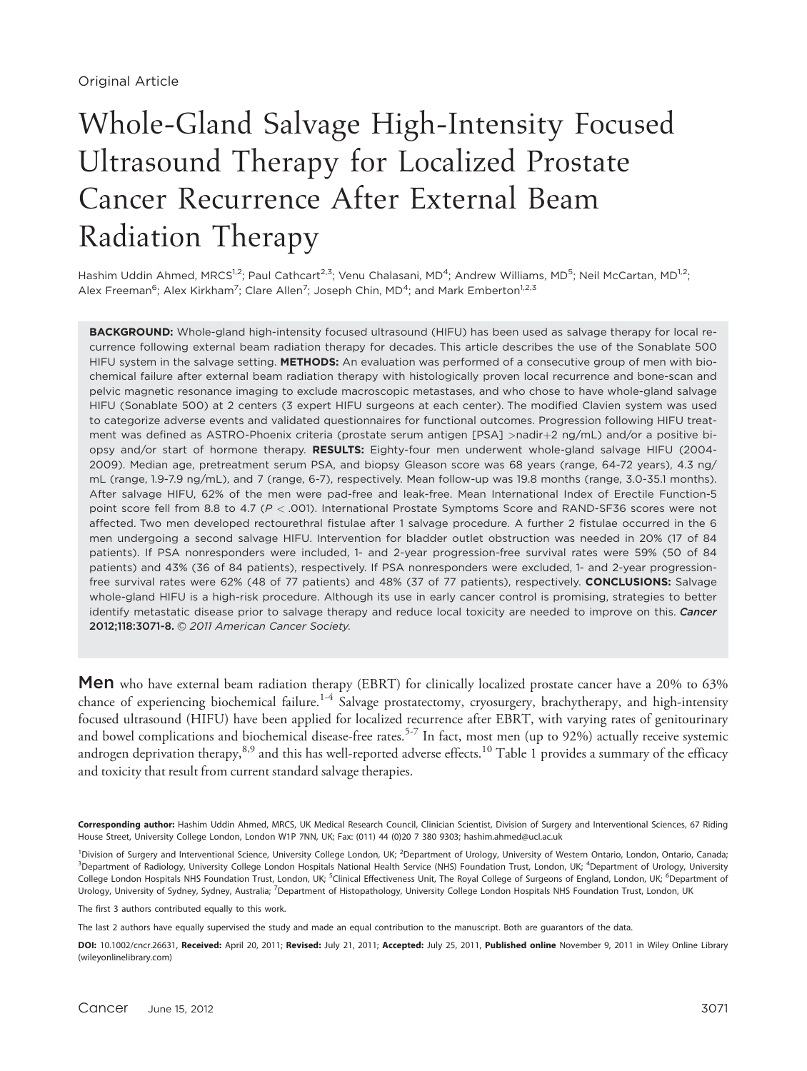# Whole-Gland Salvage High-Intensity Focused Ultrasound Therapy for Localized Prostate Cancer Recurrence After External Beam Radiation Therapy

Hashim Uddin Ahmed, MRCS<sup>1,2</sup>; Paul Cathcart<sup>2,3</sup>; Venu Chalasani, MD<sup>4</sup>; Andrew Williams, MD<sup>5</sup>; Neil McCartan, MD<sup>1,2</sup>; Alex Freeman<sup>6</sup>; Alex Kirkham<sup>7</sup>; Clare Allen<sup>7</sup>; Joseph Chin, MD<sup>4</sup>; and Mark Emberton<sup>1,2,3</sup>

BACKGROUND: Whole-gland high-intensity focused ultrasound (HIFU) has been used as salvage therapy for local recurrence following external beam radiation therapy for decades. This article describes the use of the Sonablate 500 HIFU system in the salvage setting. METHODS: An evaluation was performed of a consecutive group of men with biochemical failure after external beam radiation therapy with histologically proven local recurrence and bone-scan and pelvic magnetic resonance imaging to exclude macroscopic metastases, and who chose to have whole-gland salvage HIFU (Sonablate 500) at 2 centers (3 expert HIFU surgeons at each center). The modified Clavien system was used to categorize adverse events and validated questionnaires for functional outcomes. Progression following HIFU treatment was defined as ASTRO-Phoenix criteria (prostate serum antigen [PSA] >nadir+2 ng/mL) and/or a positive biopsy and/or start of hormone therapy. RESULTS: Eighty-four men underwent whole-gland salvage HIFU (2004-2009). Median age, pretreatment serum PSA, and biopsy Gleason score was 68 years (range, 64-72 years), 4.3 ng/ mL (range, 1.9-7.9 ng/mL), and 7 (range, 6-7), respectively. Mean follow-up was 19.8 months (range, 3.0-35.1 months). After salvage HIFU, 62% of the men were pad-free and leak-free. Mean International Index of Erectile Function-5 point score fell from 8.8 to 4.7 (P < .001). International Prostate Symptoms Score and RAND-SF36 scores were not affected. Two men developed rectourethral fistulae after 1 salvage procedure. A further 2 fistulae occurred in the 6 men undergoing a second salvage HIFU. Intervention for bladder outlet obstruction was needed in 20% (17 of 84 patients). If PSA nonresponders were included, 1- and 2-year progression-free survival rates were 59% (50 of 84 patients) and 43% (36 of 84 patients), respectively. If PSA nonresponders were excluded, 1- and 2-year progressionfree survival rates were 62% (48 of 77 patients) and 48% (37 of 77 patients), respectively. CONCLUSIONS: Salvage whole-gland HIFU is a high-risk procedure. Although its use in early cancer control is promising, strategies to better identify metastatic disease prior to salvage therapy and reduce local toxicity are needed to improve on this. Cancer 2012;118:3071-8. © 2011 American Cancer Society.

Men who have external beam radiation therapy (EBRT) for clinically localized prostate cancer have a 20% to 63% chance of experiencing biochemical failure.<sup>1-4</sup> Salvage prostatectomy, cryosurgery, brachytherapy, and high-intensity focused ultrasound (HIFU) have been applied for localized recurrence after EBRT, with varying rates of genitourinary and bowel complications and biochemical disease-free rates.<sup>5-7</sup> In fact, most men (up to 92%) actually receive systemic androgen deprivation therapy,  $8.9$  and this has well-reported adverse effects.<sup>10</sup> Table 1 provides a summary of the efficacy and toxicity that result from current standard salvage therapies.

Corresponding author: Hashim Uddin Ahmed, MRCS, UK Medical Research Council, Clinician Scientist, Division of Surgery and Interventional Sciences, 67 Riding House Street, University College London, London W1P 7NN, UK; Fax: (011) 44 (0)20 7 380 9303; hashim.ahmed@ucl.ac.uk

<sup>1</sup>Division of Surgery and Interventional Science, University College London, UK; <sup>2</sup>Department of Urology, University of Western Ontario, London, Ontario, Canada; <sup>3</sup>Department of Radiology, University College London Hospitals National Health Service (NHS) Foundation Trust, London, UK; <sup>4</sup>Department of Urology, University College London Hospitals NHS Foundation Trust, London, UK; <sup>5</sup>Clinical Effectiveness Unit, The Royal College of Surgeons of England, London, UK; <sup>6</sup>Department of Urology, University of Sydney, Sydney, Australia; <sup>7</sup>Department of Histopathology, University College London Hospitals NHS Foundation Trust, London, UK

The first 3 authors contributed equally to this work.

The last 2 authors have equally supervised the study and made an equal contribution to the manuscript. Both are guarantors of the data.

DOI: 10.1002/cncr.26631, Received: April 20, 2011; Revised: July 21, 2011; Accepted: July 25, 2011, Published online November 9, 2011 in Wiley Online Library (wileyonlinelibrary.com)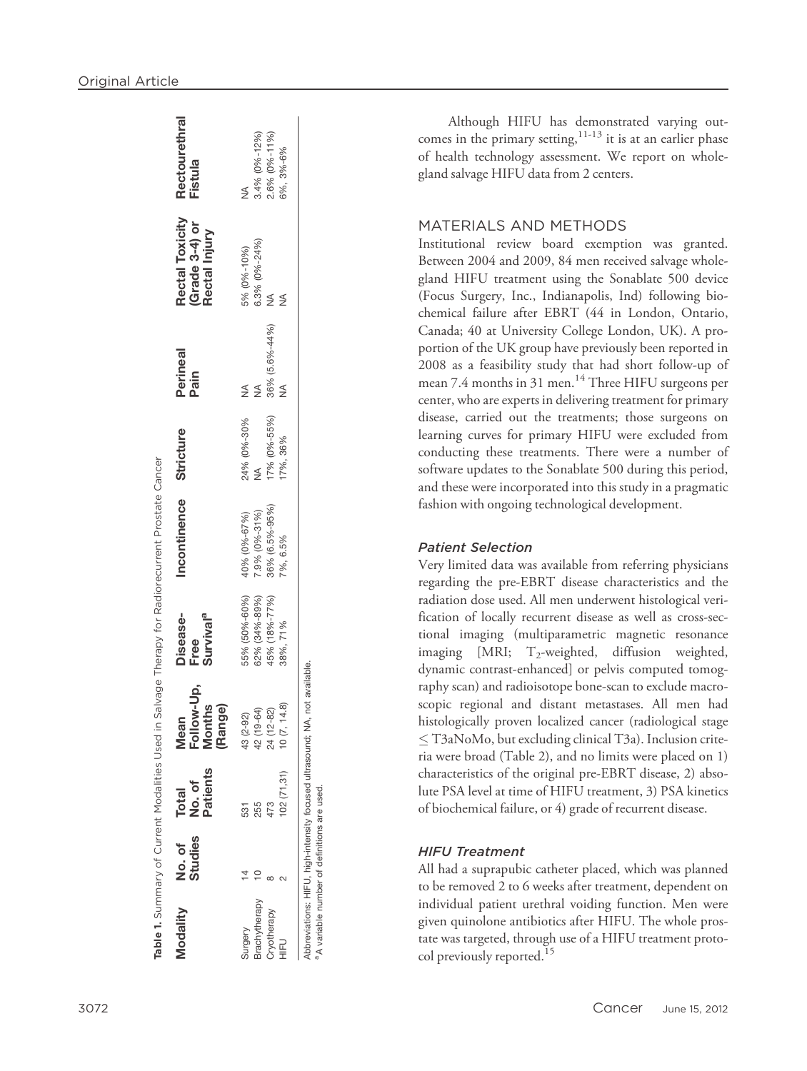| Villebolv                                                                   | No. of<br>Studies | <b>Patients</b><br>Total<br>No. of | Follow-Up.<br>(Range)<br><b>Months</b><br>Mean       | <b>Survival<sup>a</sup></b><br>lisease-<br>Free             | Incontinence                                                | Stricture                               | Perineal<br>Pain              | <b>Rectal Toxicity</b><br>(Grade 3-4) or<br>Rectal Injury      | Rectourethral<br>Fistula                         |
|-----------------------------------------------------------------------------|-------------------|------------------------------------|------------------------------------------------------|-------------------------------------------------------------|-------------------------------------------------------------|-----------------------------------------|-------------------------------|----------------------------------------------------------------|--------------------------------------------------|
| rachytherapy<br><b>Cryotherapy</b><br>Nebln<br>$\stackrel{\supset}{\equiv}$ |                   | 102(71,31)<br>255<br>473<br>531    | 10(7, 14.8)<br>43 (2-92)<br>42 (19-64)<br>24 (12-82) | 55% (50%-60%)<br>45% (18%-77%)<br>62% (34%-89%)<br>38%, 71% | 36% (6.5%-95%)<br>40% (0%-67%)<br>7.9% (0%-31%)<br>7%, 6.5% | 17% (0%-55%)<br>24% (0%-30%<br>17%, 36% | 36% (5.6%-44%)<br>≸<br>≸<br>≸ | 6.3% (0%-24%)<br>5% (0%-10%)<br>$\frac{1}{2}$<br>$\frac{1}{2}$ | 3.4% (0%-12%)<br>2.6% (0%-11%)<br>6%, 3%-6%<br>≸ |

Abbreviations: HIFU, high-intensity focused ultrasound; NA, not available. Abbreviations: HIFU, high-intensity focused ultrasound; NA, not available.

<sup>a</sup> A variable number of definitions are used A variable number of definitions are used.

Although HIFU has demonstrated varying outcomes in the primary setting, $11-13$  it is at an earlier phase of health technology assessment. We report on wholegland salvage HIFU data from 2 centers.

## MATERIALS AND METHODS

Institutional review board exemption was granted. Between 2004 and 2009, 84 men received salvage wholegland HIFU treatment using the Sonablate 500 device (Focus Surgery, Inc., Indianapolis, Ind) following biochemical failure after EBRT (44 in London, Ontario, Canada; 40 at University College London, UK). A proportion of the UK group have previously been reported in 2008 as a feasibility study that had short follow-up of mean 7.4 months in 31 men. $^{14}$  Three HIFU surgeons per center, who are experts in delivering treatment for primary disease, carried out the treatments; those surgeons on learning curves for primary HIFU were excluded from conducting these treatments. There were a number of software updates to the Sonablate 500 during this period, and these were incorporated into this study in a pragmatic fashion with ongoing technological development.

## Patient Selection

Very limited data was available from referring physicians regarding the pre-EBRT disease characteristics and the radiation dose used. All men underwent histological verification of locally recurrent disease as well as cross-sectional imaging (multiparametric magnetic resonance imaging [MRI; T 2-weighted, diffusion weighted, dynamic contrast-enhanced] or pelvis computed tomography scan) and radioisotope bone-scan to exclude macroscopic regional and distant metastases. All men had histologically proven localized cancer (radiological stage  $\leq$  T3aNoMo, but excluding clinical T3a). Inclusion criteria were broad (Table 2), and no limits were placed on 1) characteristics of the original pre-EBRT disease, 2) absolute PSA level at time of HIFU treatment, 3) PSA kinetics of biochemical failure, or 4) grade of recurrent disease.

## HIFU Treatment

All had a suprapubic catheter placed, which was planned to be removed 2 to 6 weeks after treatment, dependent on individual patient urethral voiding function. Men were given quinolone antibiotics after HIFU. The whole prostate was targeted, through use of a HIFU treatment protocol previously reported.<sup>15</sup>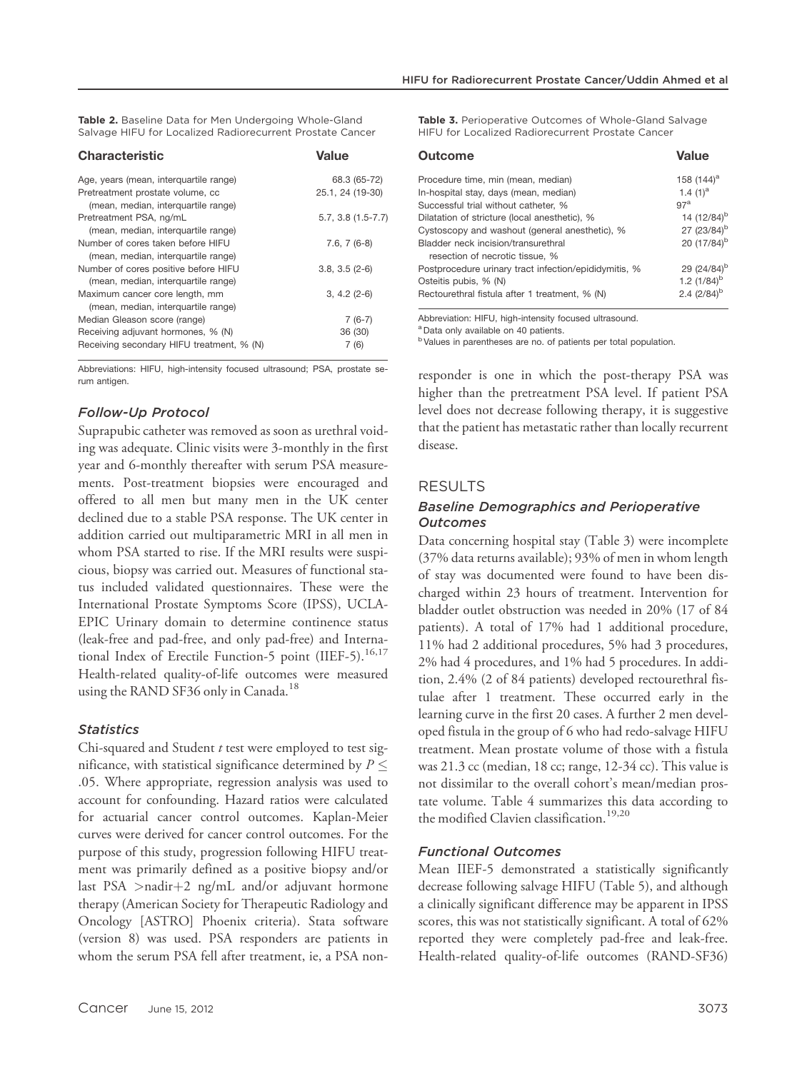Table 2. Baseline Data for Men Undergoing Whole-Gland Salvage HIFU for Localized Radiorecurrent Prostate Cancer

| Value               |
|---------------------|
| 68.3 (65-72)        |
| 25.1, 24 (19-30)    |
|                     |
| $5.7, 3.8(1.5-7.7)$ |
|                     |
| $7.6, 7(6-8)$       |
|                     |
| $3.8, 3.5 (2-6)$    |
| $3, 4.2 (2-6)$      |
| $7(6-7)$            |
| 36 (30)             |
| (6)                 |
|                     |

Abbreviations: HIFU, high-intensity focused ultrasound; PSA, prostate serum antigen.

#### Follow-Up Protocol

Suprapubic catheter was removed as soon as urethral voiding was adequate. Clinic visits were 3-monthly in the first year and 6-monthly thereafter with serum PSA measurements. Post-treatment biopsies were encouraged and offered to all men but many men in the UK center declined due to a stable PSA response. The UK center in addition carried out multiparametric MRI in all men in whom PSA started to rise. If the MRI results were suspicious, biopsy was carried out. Measures of functional status included validated questionnaires. These were the International Prostate Symptoms Score (IPSS), UCLA-EPIC Urinary domain to determine continence status (leak-free and pad-free, and only pad-free) and International Index of Erectile Function-5 point (IIEF-5).<sup>16,17</sup> Health-related quality-of-life outcomes were measured using the RAND SF36 only in Canada.<sup>18</sup>

#### **Statistics**

Chi-squared and Student  $t$  test were employed to test significance, with statistical significance determined by  $P \leq$ .05. Where appropriate, regression analysis was used to account for confounding. Hazard ratios were calculated for actuarial cancer control outcomes. Kaplan-Meier curves were derived for cancer control outcomes. For the purpose of this study, progression following HIFU treatment was primarily defined as a positive biopsy and/or last PSA  $>$ nadir+2 ng/mL and/or adjuvant hormone therapy (American Society for Therapeutic Radiology and Oncology [ASTRO] Phoenix criteria). Stata software (version 8) was used. PSA responders are patients in whom the serum PSA fell after treatment, ie, a PSA nonTable 3. Perioperative Outcomes of Whole-Gland Salvage HIFU for Localized Radiorecurrent Prostate Cancer

| Outcome                                               | Value                     |
|-------------------------------------------------------|---------------------------|
| Procedure time, min (mean, median)                    | 158 $(144)^a$             |
| In-hospital stay, days (mean, median)                 | 1.4 $(1)^a$               |
| Successful trial without catheter, %                  | 97 <sup>a</sup>           |
| Dilatation of stricture (local anesthetic), %         | 14 (12/84) <sup>b</sup>   |
| Cystoscopy and washout (general anesthetic), %        | 27 (23/84) <sup>b</sup>   |
| Bladder neck incision/transurethral                   | 20 (17/84) <sup>b</sup>   |
| resection of necrotic tissue, %                       |                           |
| Postprocedure urinary tract infection/epididymitis, % | 29 (24/84) <sup>b</sup>   |
| Osteitis pubis, % (N)                                 | 1.2 $(1/84)$ <sup>b</sup> |
| Rectourethral fistula after 1 treatment, % (N)        | 2.4 $(2/84)^{b}$          |

Abbreviation: HIFU, high-intensity focused ultrasound.

a Data only available on 40 patients.

b Values in parentheses are no. of patients per total population.

responder is one in which the post-therapy PSA was higher than the pretreatment PSA level. If patient PSA level does not decrease following therapy, it is suggestive that the patient has metastatic rather than locally recurrent disease.

#### RESULTS

### Baseline Demographics and Perioperative **Outcomes**

Data concerning hospital stay (Table 3) were incomplete (37% data returns available); 93% of men in whom length of stay was documented were found to have been discharged within 23 hours of treatment. Intervention for bladder outlet obstruction was needed in 20% (17 of 84 patients). A total of 17% had 1 additional procedure, 11% had 2 additional procedures, 5% had 3 procedures, 2% had 4 procedures, and 1% had 5 procedures. In addition, 2.4% (2 of 84 patients) developed rectourethral fistulae after 1 treatment. These occurred early in the learning curve in the first 20 cases. A further 2 men developed fistula in the group of 6 who had redo-salvage HIFU treatment. Mean prostate volume of those with a fistula was 21.3 cc (median, 18 cc; range, 12-34 cc). This value is not dissimilar to the overall cohort's mean/median prostate volume. Table 4 summarizes this data according to the modified Clavien classification.<sup>19,20</sup>

### Functional Outcomes

Mean IIEF-5 demonstrated a statistically significantly decrease following salvage HIFU (Table 5), and although a clinically significant difference may be apparent in IPSS scores, this was not statistically significant. A total of 62% reported they were completely pad-free and leak-free. Health-related quality-of-life outcomes (RAND-SF36)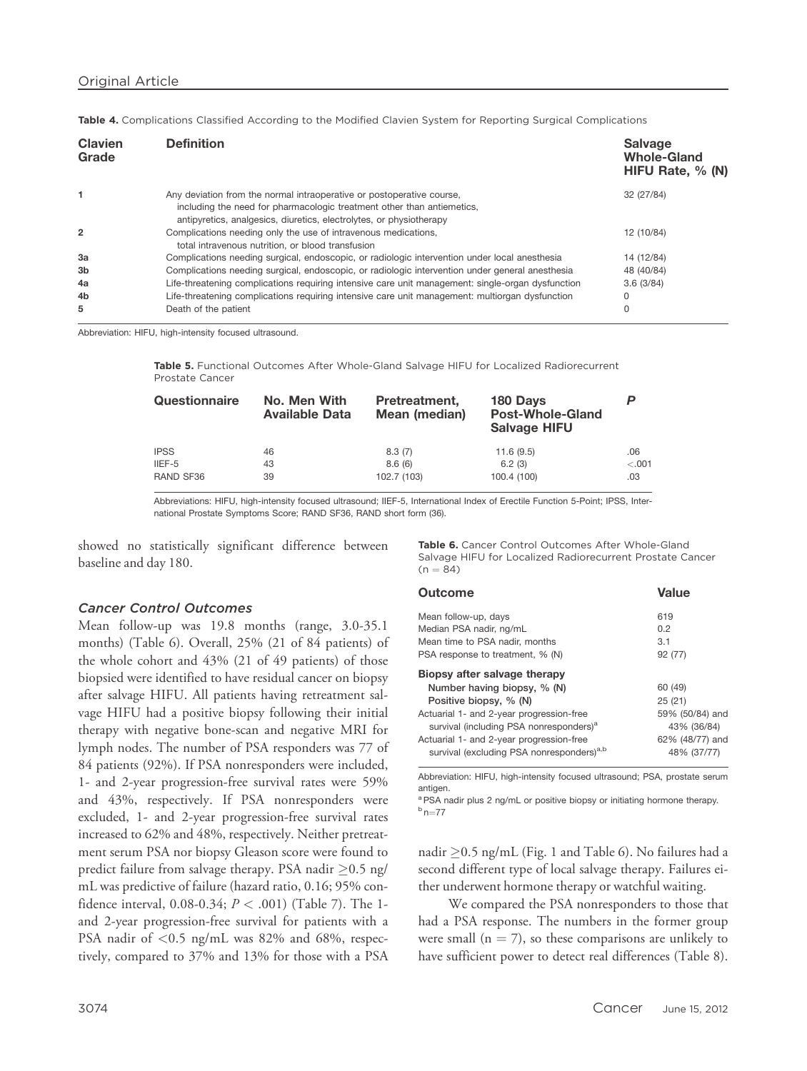| Table 4. Complications Classified According to the Modified Clavien System for Reporting Surgical Complications |  |
|-----------------------------------------------------------------------------------------------------------------|--|
|-----------------------------------------------------------------------------------------------------------------|--|

| <b>Clavien</b><br>Grade | <b>Definition</b>                                                                                 | <b>Salvage</b><br><b>Whole-Gland</b><br>HIFU Rate, % (N) |
|-------------------------|---------------------------------------------------------------------------------------------------|----------------------------------------------------------|
|                         | Any deviation from the normal intraoperative or postoperative course,                             | 32 (27/84)                                               |
|                         | including the need for pharmacologic treatment other than antiemetics,                            |                                                          |
|                         | antipyretics, analgesics, diuretics, electrolytes, or physiotherapy                               |                                                          |
| $\overline{2}$          | Complications needing only the use of intravenous medications,                                    | 12 (10/84)                                               |
|                         | total intravenous nutrition, or blood transfusion                                                 |                                                          |
| 3a                      | Complications needing surgical, endoscopic, or radiologic intervention under local anesthesia     | 14 (12/84)                                               |
| 3 <sub>b</sub>          | Complications needing surgical, endoscopic, or radiologic intervention under general anesthesia   | 48 (40/84)                                               |
| 4a                      | Life-threatening complications requiring intensive care unit management: single-organ dysfunction | 3.6(3/84)                                                |
| 4 <sub>b</sub>          | Life-threatening complications requiring intensive care unit management: multiorgan dysfunction   |                                                          |
| 5                       | Death of the patient                                                                              |                                                          |
|                         |                                                                                                   |                                                          |

Abbreviation: HIFU, high-intensity focused ultrasound.

Table 5. Functional Outcomes After Whole-Gland Salvage HIFU for Localized Radiorecurrent Prostate Cancer

| Questionnaire | No. Men With<br><b>Available Data</b> | Pretreatment,<br>Mean (median) | 180 Days<br><b>Post-Whole-Gland</b><br><b>Salvage HIFU</b> |         |
|---------------|---------------------------------------|--------------------------------|------------------------------------------------------------|---------|
| <b>IPSS</b>   | 46                                    | 8.3(7)                         | 11.6(9.5)                                                  | .06     |
| IIEF-5        | 43                                    | 8.6(6)                         | 6.2(3)                                                     | $-.001$ |
| RAND SF36     | 39                                    | 102.7 (103)                    | 100.4 (100)                                                | .03     |

Abbreviations: HIFU, high-intensity focused ultrasound; IIEF-5, International Index of Erectile Function 5-Point; IPSS, International Prostate Symptoms Score; RAND SF36, RAND short form (36).

showed no statistically significant difference between baseline and day 180.

#### Cancer Control Outcomes

Mean follow-up was 19.8 months (range, 3.0-35.1 months) (Table 6). Overall, 25% (21 of 84 patients) of the whole cohort and 43% (21 of 49 patients) of those biopsied were identified to have residual cancer on biopsy after salvage HIFU. All patients having retreatment salvage HIFU had a positive biopsy following their initial therapy with negative bone-scan and negative MRI for lymph nodes. The number of PSA responders was 77 of 84 patients (92%). If PSA nonresponders were included, 1- and 2-year progression-free survival rates were 59% and 43%, respectively. If PSA nonresponders were excluded, 1- and 2-year progression-free survival rates increased to 62% and 48%, respectively. Neither pretreatment serum PSA nor biopsy Gleason score were found to predict failure from salvage therapy. PSA nadir  $\geq$ 0.5 ng/ mL was predictive of failure (hazard ratio, 0.16; 95% confidence interval, 0.08-0.34;  $P < .001$ ) (Table 7). The 1and 2-year progression-free survival for patients with a PSA nadir of  $\langle 0.5 \text{ ng/mL}$  was 82% and 68%, respectively, compared to 37% and 13% for those with a PSA

Table 6. Cancer Control Outcomes After Whole-Gland Salvage HIFU for Localized Radiorecurrent Prostate Cancer  $(n = 84)$ 

| Outcome                                               | Value           |
|-------------------------------------------------------|-----------------|
| Mean follow-up, days                                  | 619             |
| Median PSA nadir, ng/mL                               | 0.2             |
| Mean time to PSA nadir, months                        | 3.1             |
| PSA response to treatment, % (N)                      | 92 (77)         |
| Biopsy after salvage therapy                          |                 |
| Number having biopsy, % (N)                           | 60 (49)         |
| Positive biopsy, % (N)                                | 25(21)          |
| Actuarial 1- and 2-year progression-free              | 59% (50/84) and |
| survival (including PSA nonresponders) <sup>a</sup>   | 43% (36/84)     |
| Actuarial 1- and 2-year progression-free              | 62% (48/77) and |
| survival (excluding PSA nonresponders) <sup>a,b</sup> | 48% (37/77)     |
|                                                       |                 |

Abbreviation: HIFU, high-intensity focused ultrasound; PSA, prostate serum antigen.

a PSA nadir plus 2 ng/mL or positive biopsy or initiating hormone therapy.  $b$  n=77

nadir  $\geq$ 0.5 ng/mL (Fig. 1 and Table 6). No failures had a second different type of local salvage therapy. Failures either underwent hormone therapy or watchful waiting.

We compared the PSA nonresponders to those that had a PSA response. The numbers in the former group were small ( $n = 7$ ), so these comparisons are unlikely to have sufficient power to detect real differences (Table 8).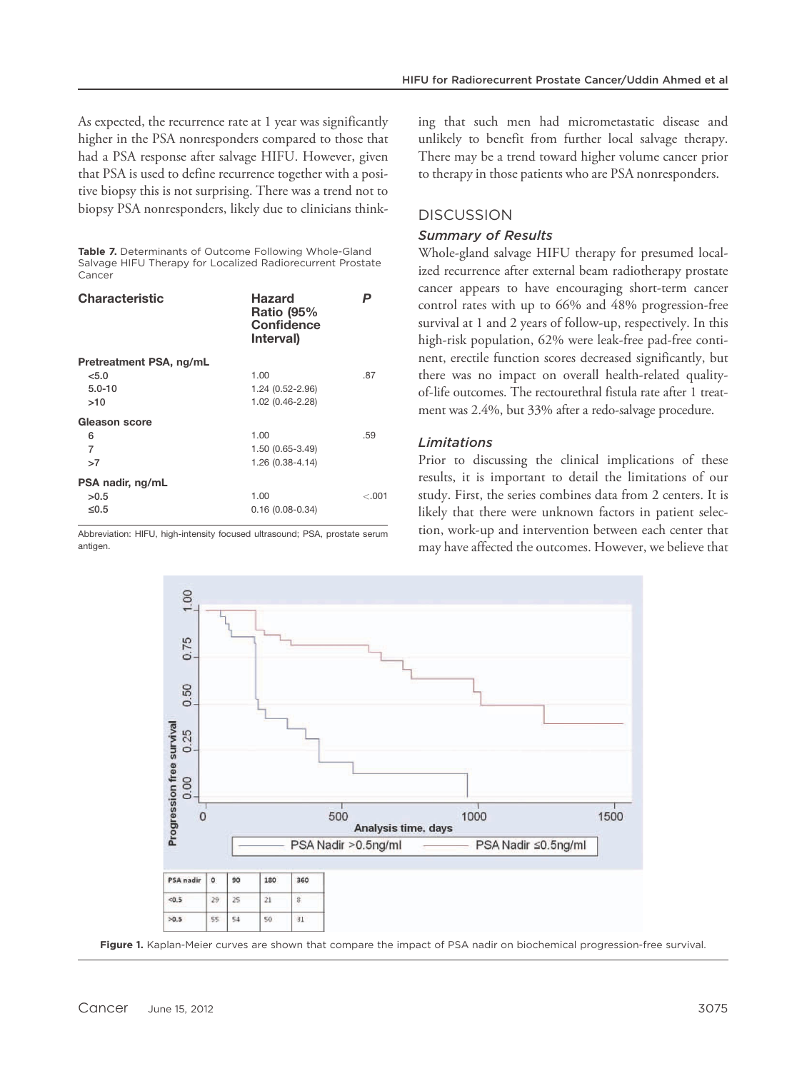As expected, the recurrence rate at 1 year was significantly higher in the PSA nonresponders compared to those that had a PSA response after salvage HIFU. However, given that PSA is used to define recurrence together with a positive biopsy this is not surprising. There was a trend not to biopsy PSA nonresponders, likely due to clinicians think-

Table 7. Determinants of Outcome Following Whole-Gland Salvage HIFU Therapy for Localized Radiorecurrent Prostate Cancer

| <b>Characteristic</b>   | <b>Hazard</b><br><b>Ratio (95%</b><br>Confidence<br>Interval) | P       |
|-------------------------|---------------------------------------------------------------|---------|
| Pretreatment PSA, ng/mL |                                                               |         |
| < 5.0                   | 1.00                                                          | .87     |
| $5.0 - 10$              | $1.24(0.52 - 2.96)$                                           |         |
| >10                     | 1.02 (0.46-2.28)                                              |         |
| Gleason score           |                                                               |         |
| 6                       | 1.00                                                          | .59     |
| 7                       | $1.50(0.65-3.49)$                                             |         |
| >7                      | 1.26 (0.38-4.14)                                              |         |
| PSA nadir, ng/mL        |                                                               |         |
| >0.5                    | 1.00                                                          | $-.001$ |
| $\leq 0.5$              | $0.16(0.08-0.34)$                                             |         |

Abbreviation: HIFU, high-intensity focused ultrasound; PSA, prostate serum antigen.

ing that such men had micrometastatic disease and unlikely to benefit from further local salvage therapy. There may be a trend toward higher volume cancer prior to therapy in those patients who are PSA nonresponders.

## **DISCUSSION**

## Summary of Results

Whole-gland salvage HIFU therapy for presumed localized recurrence after external beam radiotherapy prostate cancer appears to have encouraging short-term cancer control rates with up to 66% and 48% progression-free survival at 1 and 2 years of follow-up, respectively. In this high-risk population, 62% were leak-free pad-free continent, erectile function scores decreased significantly, but there was no impact on overall health-related qualityof-life outcomes. The rectourethral fistula rate after 1 treatment was 2.4%, but 33% after a redo-salvage procedure.

#### Limitations

Prior to discussing the clinical implications of these results, it is important to detail the limitations of our study. First, the series combines data from 2 centers. It is likely that there were unknown factors in patient selection, work-up and intervention between each center that may have affected the outcomes. However, we believe that



Figure 1. Kaplan-Meier curves are shown that compare the impact of PSA nadir on biochemical progression-free survival.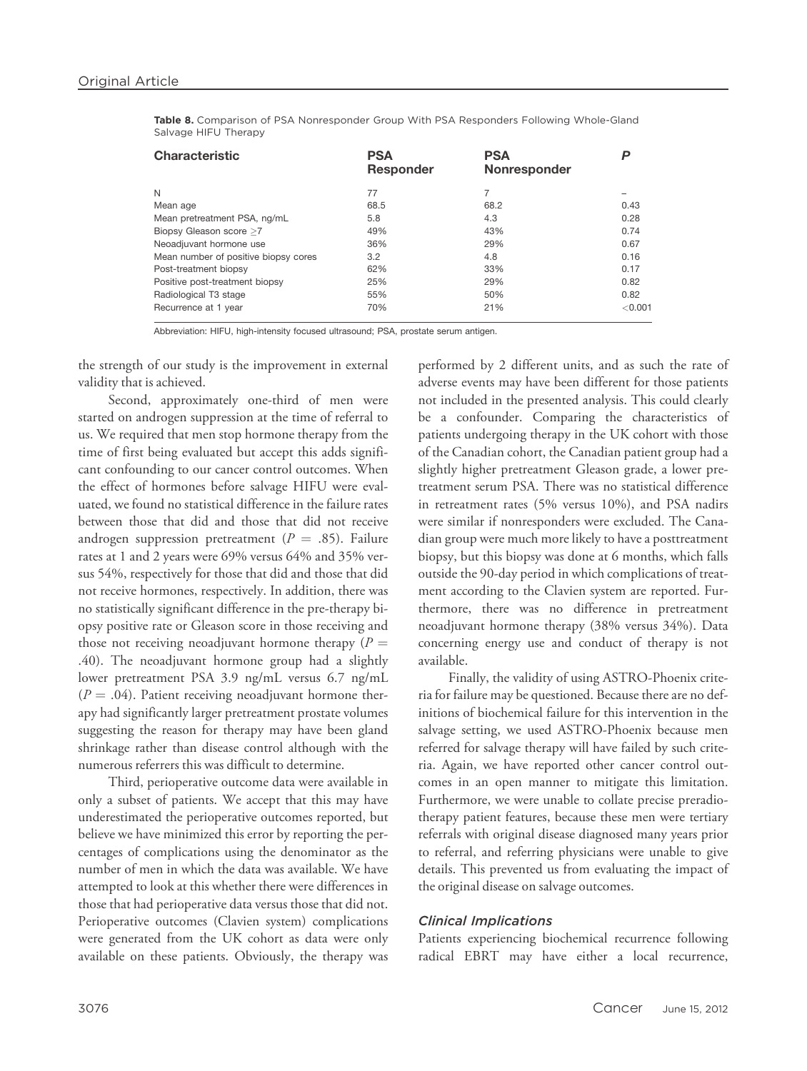| Salvage HIFU Therapy  |                                |                                   |  |
|-----------------------|--------------------------------|-----------------------------------|--|
| <b>Characteristic</b> | <b>PSA</b><br><b>Responder</b> | <b>PSA</b><br><b>Nonresponder</b> |  |

Table 8. Comparison of PSA Nonresponder Group With PSA Responders Following Whole-Gland

|                                      | <b>Responder</b> | <b>Nonresponder</b> |         |
|--------------------------------------|------------------|---------------------|---------|
| N                                    | 77               | 7                   |         |
| Mean age                             | 68.5             | 68.2                | 0.43    |
| Mean pretreatment PSA, ng/mL         | 5.8              | 4.3                 | 0.28    |
| Biopsy Gleason score >7              | 49%              | 43%                 | 0.74    |
| Neoadjuvant hormone use              | 36%              | 29%                 | 0.67    |
| Mean number of positive biopsy cores | 3.2              | 4.8                 | 0.16    |
| Post-treatment biopsy                | 62%              | 33%                 | 0.17    |
| Positive post-treatment biopsy       | 25%              | 29%                 | 0.82    |
| Radiological T3 stage                | 55%              | 50%                 | 0.82    |
| Recurrence at 1 year                 | 70%              | 21%                 | < 0.001 |

Abbreviation: HIFU, high-intensity focused ultrasound; PSA, prostate serum antigen.

the strength of our study is the improvement in external validity that is achieved.

Second, approximately one-third of men were started on androgen suppression at the time of referral to us. We required that men stop hormone therapy from the time of first being evaluated but accept this adds significant confounding to our cancer control outcomes. When the effect of hormones before salvage HIFU were evaluated, we found no statistical difference in the failure rates between those that did and those that did not receive androgen suppression pretreatment ( $P = .85$ ). Failure rates at 1 and 2 years were 69% versus 64% and 35% versus 54%, respectively for those that did and those that did not receive hormones, respectively. In addition, there was no statistically significant difference in the pre-therapy biopsy positive rate or Gleason score in those receiving and those not receiving neoadjuvant hormone therapy  $(P =$ .40). The neoadjuvant hormone group had a slightly lower pretreatment PSA 3.9 ng/mL versus 6.7 ng/mL  $(P = .04)$ . Patient receiving neoadjuvant hormone therapy had significantly larger pretreatment prostate volumes suggesting the reason for therapy may have been gland shrinkage rather than disease control although with the numerous referrers this was difficult to determine.

Third, perioperative outcome data were available in only a subset of patients. We accept that this may have underestimated the perioperative outcomes reported, but believe we have minimized this error by reporting the percentages of complications using the denominator as the number of men in which the data was available. We have attempted to look at this whether there were differences in those that had perioperative data versus those that did not. Perioperative outcomes (Clavien system) complications were generated from the UK cohort as data were only available on these patients. Obviously, the therapy was performed by 2 different units, and as such the rate of adverse events may have been different for those patients not included in the presented analysis. This could clearly be a confounder. Comparing the characteristics of patients undergoing therapy in the UK cohort with those of the Canadian cohort, the Canadian patient group had a slightly higher pretreatment Gleason grade, a lower pretreatment serum PSA. There was no statistical difference in retreatment rates (5% versus 10%), and PSA nadirs were similar if nonresponders were excluded. The Canadian group were much more likely to have a posttreatment biopsy, but this biopsy was done at 6 months, which falls outside the 90-day period in which complications of treatment according to the Clavien system are reported. Furthermore, there was no difference in pretreatment neoadjuvant hormone therapy (38% versus 34%). Data concerning energy use and conduct of therapy is not available.

Finally, the validity of using ASTRO-Phoenix criteria for failure may be questioned. Because there are no definitions of biochemical failure for this intervention in the salvage setting, we used ASTRO-Phoenix because men referred for salvage therapy will have failed by such criteria. Again, we have reported other cancer control outcomes in an open manner to mitigate this limitation. Furthermore, we were unable to collate precise preradiotherapy patient features, because these men were tertiary referrals with original disease diagnosed many years prior to referral, and referring physicians were unable to give details. This prevented us from evaluating the impact of the original disease on salvage outcomes.

#### Clinical Implications

Patients experiencing biochemical recurrence following radical EBRT may have either a local recurrence,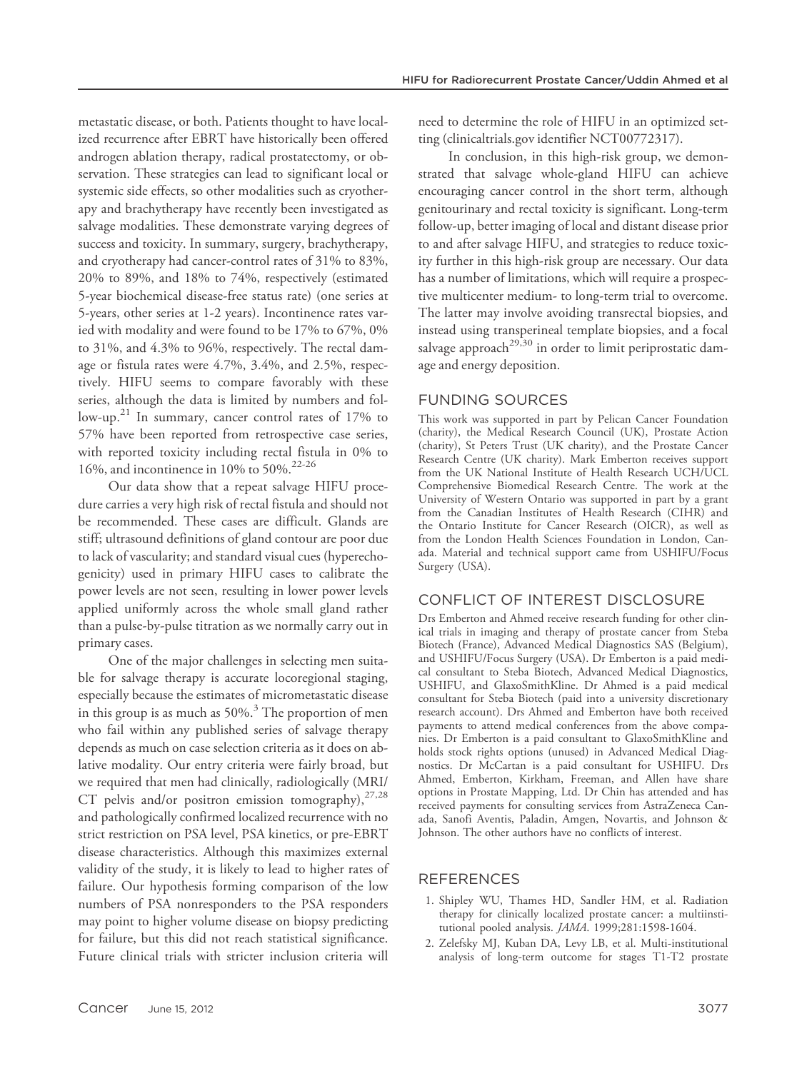metastatic disease, or both. Patients thought to have localized recurrence after EBRT have historically been offered androgen ablation therapy, radical prostatectomy, or observation. These strategies can lead to significant local or systemic side effects, so other modalities such as cryotherapy and brachytherapy have recently been investigated as salvage modalities. These demonstrate varying degrees of success and toxicity. In summary, surgery, brachytherapy, and cryotherapy had cancer-control rates of 31% to 83%, 20% to 89%, and 18% to 74%, respectively (estimated 5-year biochemical disease-free status rate) (one series at 5-years, other series at 1-2 years). Incontinence rates varied with modality and were found to be 17% to 67%, 0% to 31%, and 4.3% to 96%, respectively. The rectal damage or fistula rates were 4.7%, 3.4%, and 2.5%, respectively. HIFU seems to compare favorably with these series, although the data is limited by numbers and follow-up.<sup>21</sup> In summary, cancer control rates of 17% to 57% have been reported from retrospective case series, with reported toxicity including rectal fistula in 0% to 16%, and incontinence in 10% to 50%.22-26

Our data show that a repeat salvage HIFU procedure carries a very high risk of rectal fistula and should not be recommended. These cases are difficult. Glands are stiff; ultrasound definitions of gland contour are poor due to lack of vascularity; and standard visual cues (hyperechogenicity) used in primary HIFU cases to calibrate the power levels are not seen, resulting in lower power levels applied uniformly across the whole small gland rather than a pulse-by-pulse titration as we normally carry out in primary cases.

One of the major challenges in selecting men suitable for salvage therapy is accurate locoregional staging, especially because the estimates of micrometastatic disease in this group is as much as  $50\%$ .<sup>3</sup> The proportion of men who fail within any published series of salvage therapy depends as much on case selection criteria as it does on ablative modality. Our entry criteria were fairly broad, but we required that men had clinically, radiologically (MRI/ CT pelvis and/or positron emission tomography), $27,28$ and pathologically confirmed localized recurrence with no strict restriction on PSA level, PSA kinetics, or pre-EBRT disease characteristics. Although this maximizes external validity of the study, it is likely to lead to higher rates of failure. Our hypothesis forming comparison of the low numbers of PSA nonresponders to the PSA responders may point to higher volume disease on biopsy predicting for failure, but this did not reach statistical significance. Future clinical trials with stricter inclusion criteria will need to determine the role of HIFU in an optimized setting (clinicaltrials.gov identifier NCT00772317).

In conclusion, in this high-risk group, we demonstrated that salvage whole-gland HIFU can achieve encouraging cancer control in the short term, although genitourinary and rectal toxicity is significant. Long-term follow-up, better imaging of local and distant disease prior to and after salvage HIFU, and strategies to reduce toxicity further in this high-risk group are necessary. Our data has a number of limitations, which will require a prospective multicenter medium- to long-term trial to overcome. The latter may involve avoiding transrectal biopsies, and instead using transperineal template biopsies, and a focal salvage approach<sup>29,30</sup> in order to limit periprostatic damage and energy deposition.

## FUNDING SOURCES

This work was supported in part by Pelican Cancer Foundation (charity), the Medical Research Council (UK), Prostate Action (charity), St Peters Trust (UK charity), and the Prostate Cancer Research Centre (UK charity). Mark Emberton receives support from the UK National Institute of Health Research UCH/UCL Comprehensive Biomedical Research Centre. The work at the University of Western Ontario was supported in part by a grant from the Canadian Institutes of Health Research (CIHR) and the Ontario Institute for Cancer Research (OICR), as well as from the London Health Sciences Foundation in London, Canada. Material and technical support came from USHIFU/Focus Surgery (USA).

#### CONFLICT OF INTEREST DISCLOSURE

Drs Emberton and Ahmed receive research funding for other clinical trials in imaging and therapy of prostate cancer from Steba Biotech (France), Advanced Medical Diagnostics SAS (Belgium), and USHIFU/Focus Surgery (USA). Dr Emberton is a paid medical consultant to Steba Biotech, Advanced Medical Diagnostics, USHIFU, and GlaxoSmithKline. Dr Ahmed is a paid medical consultant for Steba Biotech (paid into a university discretionary research account). Drs Ahmed and Emberton have both received payments to attend medical conferences from the above companies. Dr Emberton is a paid consultant to GlaxoSmithKline and holds stock rights options (unused) in Advanced Medical Diagnostics. Dr McCartan is a paid consultant for USHIFU. Drs Ahmed, Emberton, Kirkham, Freeman, and Allen have share options in Prostate Mapping, Ltd. Dr Chin has attended and has received payments for consulting services from AstraZeneca Canada, Sanofi Aventis, Paladin, Amgen, Novartis, and Johnson & Johnson. The other authors have no conflicts of interest.

#### REFERENCES

- 1. Shipley WU, Thames HD, Sandler HM, et al. Radiation therapy for clinically localized prostate cancer: a multiinstitutional pooled analysis. JAMA. 1999;281:1598-1604.
- 2. Zelefsky MJ, Kuban DA, Levy LB, et al. Multi-institutional analysis of long-term outcome for stages T1-T2 prostate